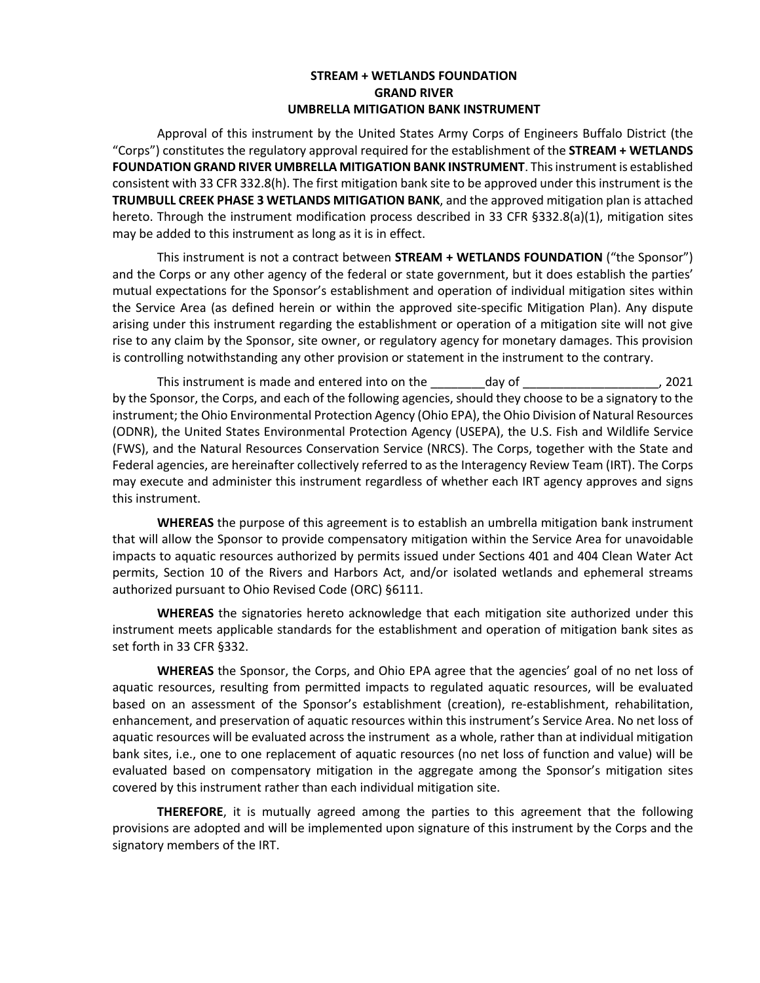### **STREAM + WETLANDS FOUNDATION GRAND RIVER UMBRELLA MITIGATION BANK INSTRUMENT**

Approval of this instrument by the United States Army Corps of Engineers Buffalo District (the "Corps") constitutes the regulatory approval required for the establishment of the **STREAM + WETLANDS FOUNDATION GRAND RIVER UMBRELLA MITIGATION BANK INSTRUMENT**. This instrument is established consistent with 33 CFR 332.8(h). The first mitigation bank site to be approved under this instrument is the **TRUMBULL CREEK PHASE 3 WETLANDS MITIGATION BANK**, and the approved mitigation plan is attached hereto. Through the instrument modification process described in 33 CFR §332.8(a)(1), mitigation sites may be added to this instrument as long as it is in effect.

This instrument is not a contract between **STREAM + WETLANDS FOUNDATION** ("the Sponsor") and the Corps or any other agency of the federal or state government, but it does establish the parties' mutual expectations for the Sponsor's establishment and operation of individual mitigation sites within the Service Area (as defined herein or within the approved site-specific Mitigation Plan). Any dispute arising under this instrument regarding the establishment or operation of a mitigation site will not give rise to any claim by the Sponsor, site owner, or regulatory agency for monetary damages. This provision is controlling notwithstanding any other provision or statement in the instrument to the contrary.

This instrument is made and entered into on the day of This instrument is made and entered into on the day of T by the Sponsor, the Corps, and each of the following agencies, should they choose to be a signatory to the instrument; the Ohio Environmental Protection Agency (Ohio EPA), the Ohio Division of Natural Resources (ODNR), the United States Environmental Protection Agency (USEPA), the U.S. Fish and Wildlife Service (FWS), and the Natural Resources Conservation Service (NRCS). The Corps, together with the State and Federal agencies, are hereinafter collectively referred to as the Interagency Review Team (IRT). The Corps may execute and administer this instrument regardless of whether each IRT agency approves and signs this instrument.

**WHEREAS** the purpose of this agreement is to establish an umbrella mitigation bank instrument that will allow the Sponsor to provide compensatory mitigation within the Service Area for unavoidable impacts to aquatic resources authorized by permits issued under Sections 401 and 404 Clean Water Act permits, Section 10 of the Rivers and Harbors Act, and/or isolated wetlands and ephemeral streams authorized pursuant to Ohio Revised Code (ORC) §6111.

**WHEREAS** the signatories hereto acknowledge that each mitigation site authorized under this instrument meets applicable standards for the establishment and operation of mitigation bank sites as set forth in 33 CFR §332.

**WHEREAS** the Sponsor, the Corps, and Ohio EPA agree that the agencies' goal of no net loss of aquatic resources, resulting from permitted impacts to regulated aquatic resources, will be evaluated based on an assessment of the Sponsor's establishment (creation), re-establishment, rehabilitation, enhancement, and preservation of aquatic resources within this instrument's Service Area. No net loss of aquatic resources will be evaluated across the instrument as a whole, rather than at individual mitigation bank sites, i.e., one to one replacement of aquatic resources (no net loss of function and value) will be evaluated based on compensatory mitigation in the aggregate among the Sponsor's mitigation sites covered by this instrument rather than each individual mitigation site.

**THEREFORE**, it is mutually agreed among the parties to this agreement that the following provisions are adopted and will be implemented upon signature of this instrument by the Corps and the signatory members of the IRT.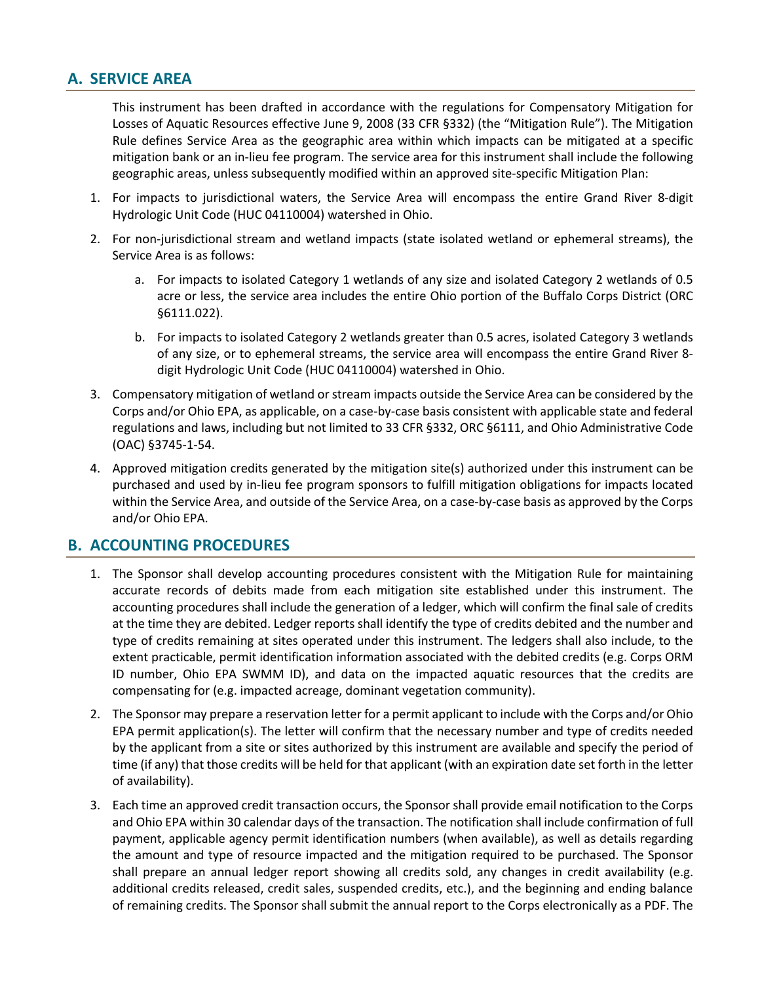# **A. SERVICE AREA**

This instrument has been drafted in accordance with the regulations for Compensatory Mitigation for Losses of Aquatic Resources effective June 9, 2008 (33 CFR §332) (the "Mitigation Rule"). The Mitigation Rule defines Service Area as the geographic area within which impacts can be mitigated at a specific mitigation bank or an in-lieu fee program. The service area for this instrument shall include the following geographic areas, unless subsequently modified within an approved site-specific Mitigation Plan:

- 1. For impacts to jurisdictional waters, the Service Area will encompass the entire Grand River 8-digit Hydrologic Unit Code (HUC 04110004) watershed in Ohio.
- 2. For non-jurisdictional stream and wetland impacts (state isolated wetland or ephemeral streams), the Service Area is as follows:
	- a. For impacts to isolated Category 1 wetlands of any size and isolated Category 2 wetlands of 0.5 acre or less, the service area includes the entire Ohio portion of the Buffalo Corps District (ORC §6111.022).
	- b. For impacts to isolated Category 2 wetlands greater than 0.5 acres, isolated Category 3 wetlands of any size, or to ephemeral streams, the service area will encompass the entire Grand River 8 digit Hydrologic Unit Code (HUC 04110004) watershed in Ohio.
- 3. Compensatory mitigation of wetland or stream impacts outside the Service Area can be considered by the Corps and/or Ohio EPA, as applicable, on a case-by-case basis consistent with applicable state and federal regulations and laws, including but not limited to 33 CFR §332, ORC §6111, and Ohio Administrative Code (OAC) §3745-1-54.
- 4. Approved mitigation credits generated by the mitigation site(s) authorized under this instrument can be purchased and used by in-lieu fee program sponsors to fulfill mitigation obligations for impacts located within the Service Area, and outside of the Service Area, on a case-by-case basis as approved by the Corps and/or Ohio EPA.

## **B. ACCOUNTING PROCEDURES**

- 1. The Sponsor shall develop accounting procedures consistent with the Mitigation Rule for maintaining accurate records of debits made from each mitigation site established under this instrument. The accounting procedures shall include the generation of a ledger, which will confirm the final sale of credits at the time they are debited. Ledger reports shall identify the type of credits debited and the number and type of credits remaining at sites operated under this instrument. The ledgers shall also include, to the extent practicable, permit identification information associated with the debited credits (e.g. Corps ORM ID number, Ohio EPA SWMM ID), and data on the impacted aquatic resources that the credits are compensating for (e.g. impacted acreage, dominant vegetation community).
- 2. The Sponsor may prepare a reservation letter for a permit applicant to include with the Corps and/or Ohio EPA permit application(s). The letter will confirm that the necessary number and type of credits needed by the applicant from a site or sites authorized by this instrument are available and specify the period of time (if any) that those credits will be held for that applicant (with an expiration date set forth in the letter of availability).
- 3. Each time an approved credit transaction occurs, the Sponsor shall provide email notification to the Corps and Ohio EPA within 30 calendar days of the transaction. The notification shall include confirmation of full payment, applicable agency permit identification numbers (when available), as well as details regarding the amount and type of resource impacted and the mitigation required to be purchased. The Sponsor shall prepare an annual ledger report showing all credits sold, any changes in credit availability (e.g. additional credits released, credit sales, suspended credits, etc.), and the beginning and ending balance of remaining credits. The Sponsor shall submit the annual report to the Corps electronically as a PDF. The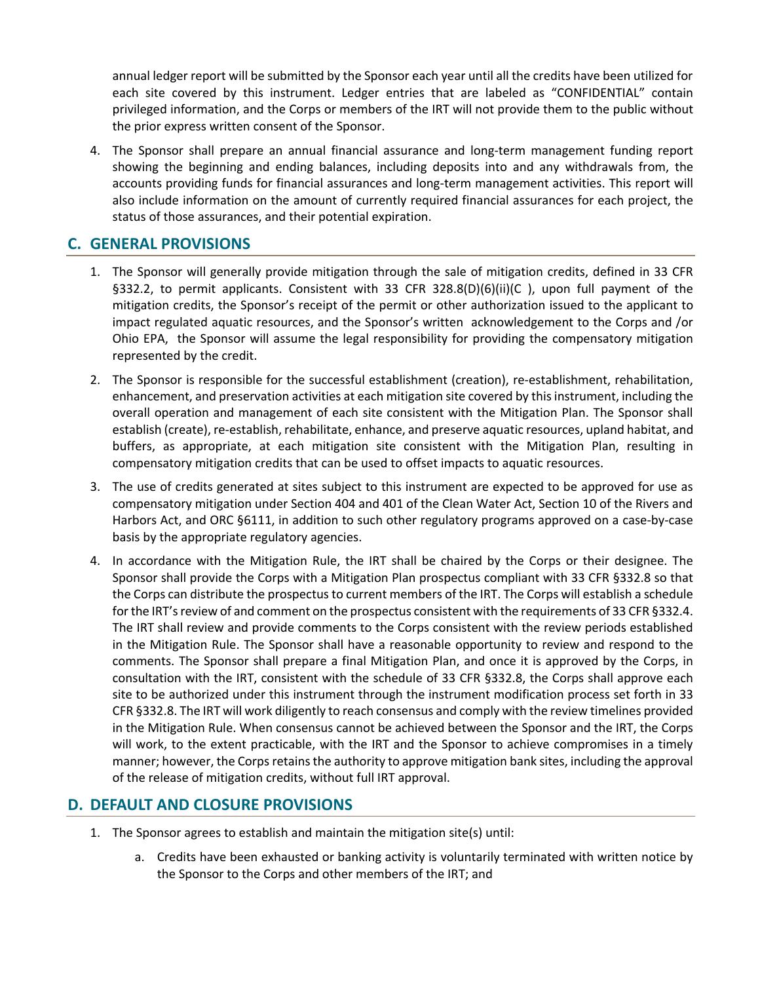annual ledger report will be submitted by the Sponsor each year until all the credits have been utilized for each site covered by this instrument. Ledger entries that are labeled as "CONFIDENTIAL" contain privileged information, and the Corps or members of the IRT will not provide them to the public without the prior express written consent of the Sponsor.

4. The Sponsor shall prepare an annual financial assurance and long-term management funding report showing the beginning and ending balances, including deposits into and any withdrawals from, the accounts providing funds for financial assurances and long-term management activities. This report will also include information on the amount of currently required financial assurances for each project, the status of those assurances, and their potential expiration.

## **C. GENERAL PROVISIONS**

- 1. The Sponsor will generally provide mitigation through the sale of mitigation credits, defined in 33 CFR §332.2, to permit applicants. Consistent with 33 CFR 328.8(D)(6)(ii)(C), upon full payment of the mitigation credits, the Sponsor's receipt of the permit or other authorization issued to the applicant to impact regulated aquatic resources, and the Sponsor's written acknowledgement to the Corps and /or Ohio EPA, the Sponsor will assume the legal responsibility for providing the compensatory mitigation represented by the credit.
- 2. The Sponsor is responsible for the successful establishment (creation), re-establishment, rehabilitation, enhancement, and preservation activities at each mitigation site covered by this instrument, including the overall operation and management of each site consistent with the Mitigation Plan. The Sponsor shall establish (create), re-establish, rehabilitate, enhance, and preserve aquatic resources, upland habitat, and buffers, as appropriate, at each mitigation site consistent with the Mitigation Plan, resulting in compensatory mitigation credits that can be used to offset impacts to aquatic resources.
- 3. The use of credits generated at sites subject to this instrument are expected to be approved for use as compensatory mitigation under Section 404 and 401 of the Clean Water Act, Section 10 of the Rivers and Harbors Act, and ORC §6111, in addition to such other regulatory programs approved on a case-by-case basis by the appropriate regulatory agencies.
- 4. In accordance with the Mitigation Rule, the IRT shall be chaired by the Corps or their designee. The Sponsor shall provide the Corps with a Mitigation Plan prospectus compliant with 33 CFR §332.8 so that the Corps can distribute the prospectus to current members of the IRT. The Corps will establish a schedule for the IRT's review of and comment on the prospectus consistent with the requirements of 33 CFR §332.4. The IRT shall review and provide comments to the Corps consistent with the review periods established in the Mitigation Rule. The Sponsor shall have a reasonable opportunity to review and respond to the comments. The Sponsor shall prepare a final Mitigation Plan, and once it is approved by the Corps, in consultation with the IRT, consistent with the schedule of 33 CFR §332.8, the Corps shall approve each site to be authorized under this instrument through the instrument modification process set forth in 33 CFR §332.8. The IRT will work diligently to reach consensus and comply with the review timelines provided in the Mitigation Rule. When consensus cannot be achieved between the Sponsor and the IRT, the Corps will work, to the extent practicable, with the IRT and the Sponsor to achieve compromises in a timely manner; however, the Corps retains the authority to approve mitigation bank sites, including the approval of the release of mitigation credits, without full IRT approval.

## **D. DEFAULT AND CLOSURE PROVISIONS**

- 1. The Sponsor agrees to establish and maintain the mitigation site(s) until:
	- a. Credits have been exhausted or banking activity is voluntarily terminated with written notice by the Sponsor to the Corps and other members of the IRT; and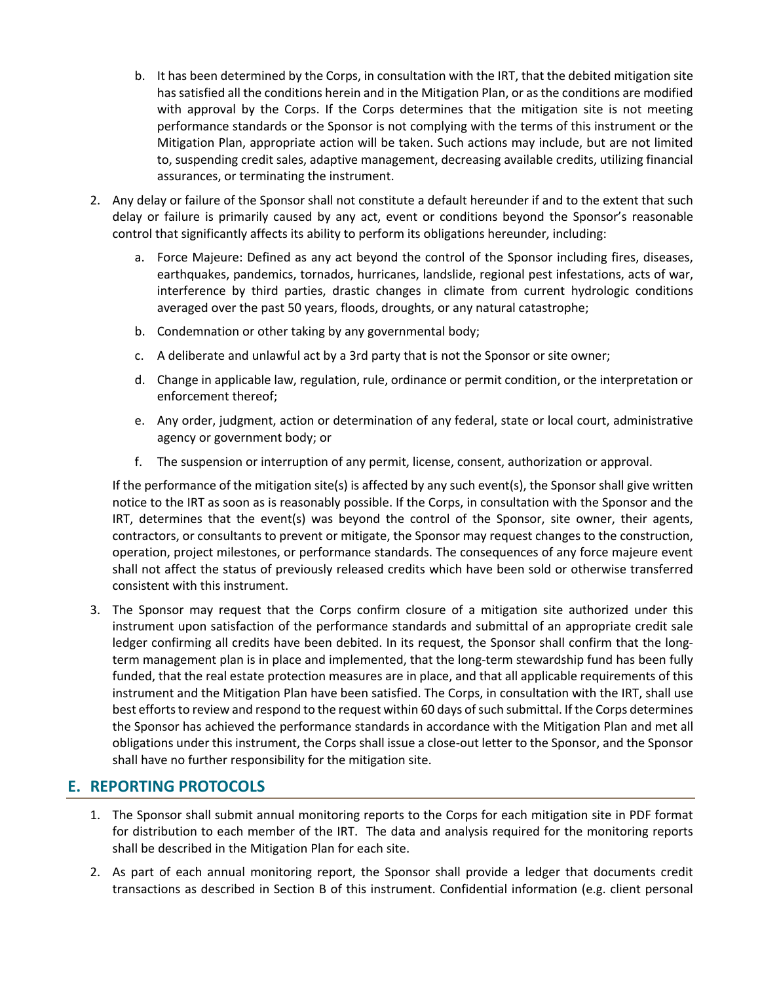- b. It has been determined by the Corps, in consultation with the IRT, that the debited mitigation site has satisfied all the conditions herein and in the Mitigation Plan, or as the conditions are modified with approval by the Corps. If the Corps determines that the mitigation site is not meeting performance standards or the Sponsor is not complying with the terms of this instrument or the Mitigation Plan, appropriate action will be taken. Such actions may include, but are not limited to, suspending credit sales, adaptive management, decreasing available credits, utilizing financial assurances, or terminating the instrument.
- 2. Any delay or failure of the Sponsor shall not constitute a default hereunder if and to the extent that such delay or failure is primarily caused by any act, event or conditions beyond the Sponsor's reasonable control that significantly affects its ability to perform its obligations hereunder, including:
	- a. Force Majeure: Defined as any act beyond the control of the Sponsor including fires, diseases, earthquakes, pandemics, tornados, hurricanes, landslide, regional pest infestations, acts of war, interference by third parties, drastic changes in climate from current hydrologic conditions averaged over the past 50 years, floods, droughts, or any natural catastrophe;
	- b. Condemnation or other taking by any governmental body;
	- c. A deliberate and unlawful act by a 3rd party that is not the Sponsor or site owner;
	- d. Change in applicable law, regulation, rule, ordinance or permit condition, or the interpretation or enforcement thereof;
	- e. Any order, judgment, action or determination of any federal, state or local court, administrative agency or government body; or
	- f. The suspension or interruption of any permit, license, consent, authorization or approval.

If the performance of the mitigation site(s) is affected by any such event(s), the Sponsor shall give written notice to the IRT as soon as is reasonably possible. If the Corps, in consultation with the Sponsor and the IRT, determines that the event(s) was beyond the control of the Sponsor, site owner, their agents, contractors, or consultants to prevent or mitigate, the Sponsor may request changes to the construction, operation, project milestones, or performance standards. The consequences of any force majeure event shall not affect the status of previously released credits which have been sold or otherwise transferred consistent with this instrument.

3. The Sponsor may request that the Corps confirm closure of a mitigation site authorized under this instrument upon satisfaction of the performance standards and submittal of an appropriate credit sale ledger confirming all credits have been debited. In its request, the Sponsor shall confirm that the longterm management plan is in place and implemented, that the long-term stewardship fund has been fully funded, that the real estate protection measures are in place, and that all applicable requirements of this instrument and the Mitigation Plan have been satisfied. The Corps, in consultation with the IRT, shall use best efforts to review and respond to the request within 60 days of such submittal. If the Corps determines the Sponsor has achieved the performance standards in accordance with the Mitigation Plan and met all obligations under this instrument, the Corps shall issue a close-out letter to the Sponsor, and the Sponsor shall have no further responsibility for the mitigation site.

# **E. REPORTING PROTOCOLS**

- 1. The Sponsor shall submit annual monitoring reports to the Corps for each mitigation site in PDF format for distribution to each member of the IRT. The data and analysis required for the monitoring reports shall be described in the Mitigation Plan for each site.
- 2. As part of each annual monitoring report, the Sponsor shall provide a ledger that documents credit transactions as described in Section B of this instrument. Confidential information (e.g. client personal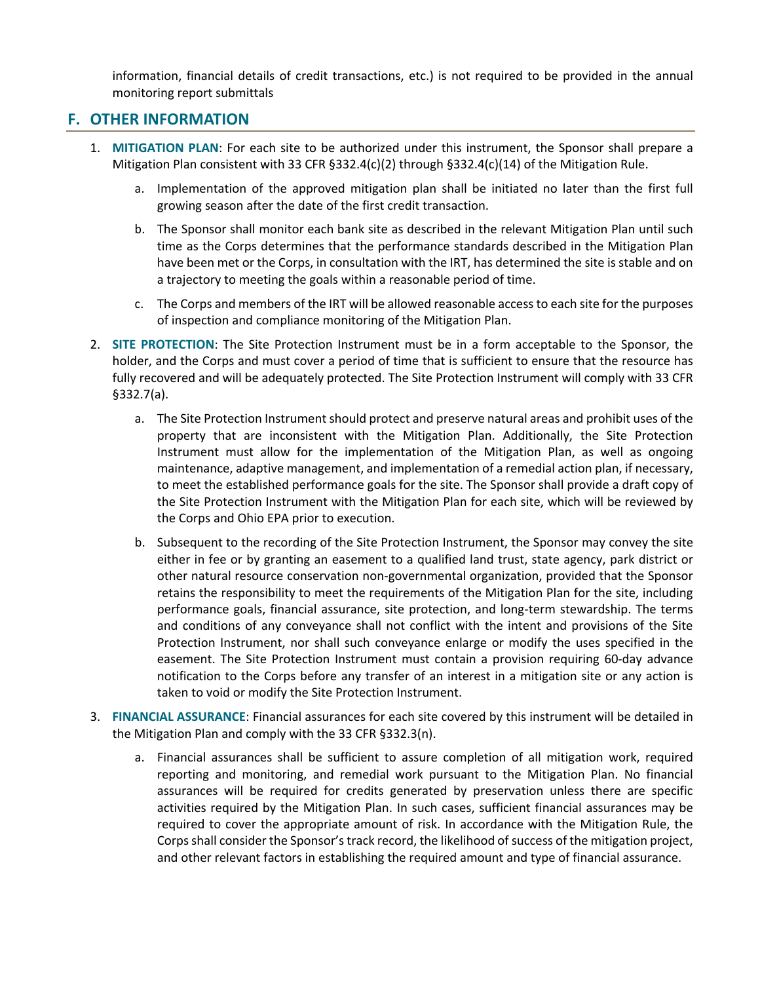information, financial details of credit transactions, etc.) is not required to be provided in the annual monitoring report submittals

## **F. OTHER INFORMATION**

- 1. **MITIGATION PLAN**: For each site to be authorized under this instrument, the Sponsor shall prepare a Mitigation Plan consistent with 33 CFR §332.4(c)(2) through §332.4(c)(14) of the Mitigation Rule.
	- a. Implementation of the approved mitigation plan shall be initiated no later than the first full growing season after the date of the first credit transaction.
	- b. The Sponsor shall monitor each bank site as described in the relevant Mitigation Plan until such time as the Corps determines that the performance standards described in the Mitigation Plan have been met or the Corps, in consultation with the IRT, has determined the site is stable and on a trajectory to meeting the goals within a reasonable period of time.
	- c. The Corps and members of the IRT will be allowed reasonable access to each site for the purposes of inspection and compliance monitoring of the Mitigation Plan.
- 2. **SITE PROTECTION**: The Site Protection Instrument must be in a form acceptable to the Sponsor, the holder, and the Corps and must cover a period of time that is sufficient to ensure that the resource has fully recovered and will be adequately protected. The Site Protection Instrument will comply with 33 CFR §332.7(a).
	- a. The Site Protection Instrument should protect and preserve natural areas and prohibit uses of the property that are inconsistent with the Mitigation Plan. Additionally, the Site Protection Instrument must allow for the implementation of the Mitigation Plan, as well as ongoing maintenance, adaptive management, and implementation of a remedial action plan, if necessary, to meet the established performance goals for the site. The Sponsor shall provide a draft copy of the Site Protection Instrument with the Mitigation Plan for each site, which will be reviewed by the Corps and Ohio EPA prior to execution.
	- b. Subsequent to the recording of the Site Protection Instrument, the Sponsor may convey the site either in fee or by granting an easement to a qualified land trust, state agency, park district or other natural resource conservation non-governmental organization, provided that the Sponsor retains the responsibility to meet the requirements of the Mitigation Plan for the site, including performance goals, financial assurance, site protection, and long-term stewardship. The terms and conditions of any conveyance shall not conflict with the intent and provisions of the Site Protection Instrument, nor shall such conveyance enlarge or modify the uses specified in the easement. The Site Protection Instrument must contain a provision requiring 60-day advance notification to the Corps before any transfer of an interest in a mitigation site or any action is taken to void or modify the Site Protection Instrument.
- 3. **FINANCIAL ASSURANCE**: Financial assurances for each site covered by this instrument will be detailed in the Mitigation Plan and comply with the 33 CFR §332.3(n).
	- a. Financial assurances shall be sufficient to assure completion of all mitigation work, required reporting and monitoring, and remedial work pursuant to the Mitigation Plan. No financial assurances will be required for credits generated by preservation unless there are specific activities required by the Mitigation Plan. In such cases, sufficient financial assurances may be required to cover the appropriate amount of risk. In accordance with the Mitigation Rule, the Corps shall consider the Sponsor's track record, the likelihood of success of the mitigation project, and other relevant factors in establishing the required amount and type of financial assurance.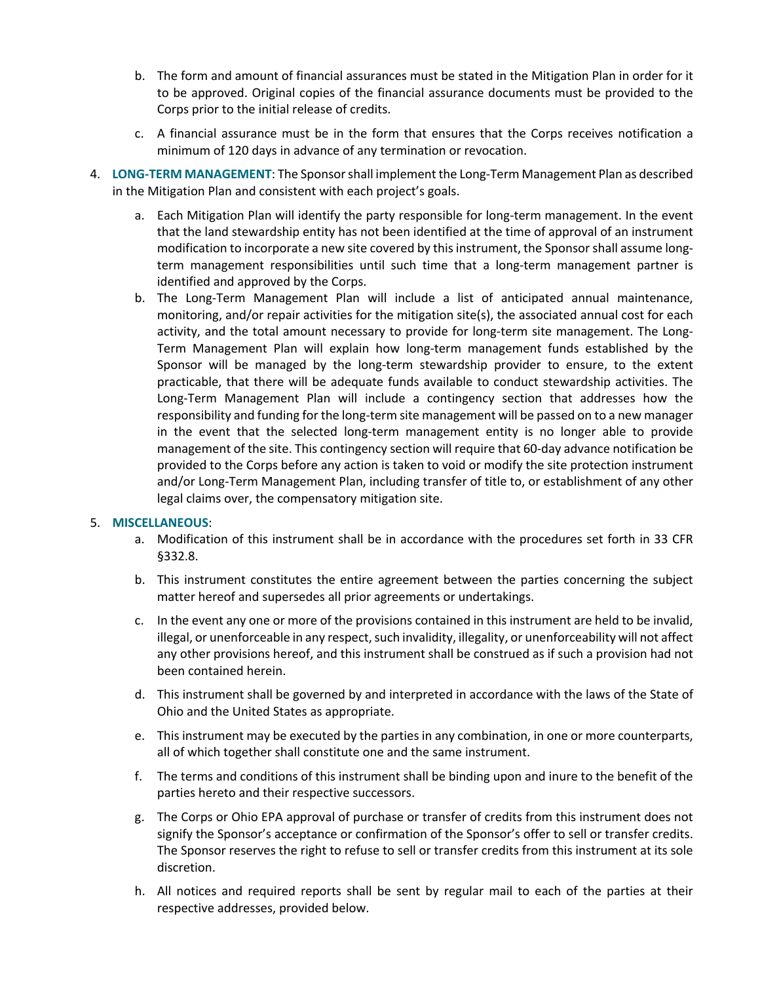- b. The form and amount of financial assurances must be stated in the Mitigation Plan in order for it to be approved. Original copies of the financial assurance documents must be provided to the Corps prior to the initial release of credits.
- c. A financial assurance must be in the form that ensures that the Corps receives notification a minimum of 120 days in advance of any termination or revocation.
- 4. **LONG-TERM MANAGEMENT**: The Sponsor shall implement the Long-Term Management Plan as described in the Mitigation Plan and consistent with each project's goals.
	- a. Each Mitigation Plan will identify the party responsible for long-term management. In the event that the land stewardship entity has not been identified at the time of approval of an instrument modification to incorporate a new site covered by this instrument, the Sponsor shall assume longterm management responsibilities until such time that a long-term management partner is identified and approved by the Corps.
	- b. The Long-Term Management Plan will include a list of anticipated annual maintenance, monitoring, and/or repair activities for the mitigation site(s), the associated annual cost for each activity, and the total amount necessary to provide for long-term site management. The Long-Term Management Plan will explain how long-term management funds established by the Sponsor will be managed by the long-term stewardship provider to ensure, to the extent practicable, that there will be adequate funds available to conduct stewardship activities. The Long-Term Management Plan will include a contingency section that addresses how the responsibility and funding for the long-term site management will be passed on to a new manager in the event that the selected long-term management entity is no longer able to provide management of the site. This contingency section will require that 60-day advance notification be provided to the Corps before any action is taken to void or modify the site protection instrument and/or Long-Term Management Plan, including transfer of title to, or establishment of any other legal claims over, the compensatory mitigation site.

#### 5. **MISCELLANEOUS**:

- a. Modification of this instrument shall be in accordance with the procedures set forth in 33 CFR §332.8.
- b. This instrument constitutes the entire agreement between the parties concerning the subject matter hereof and supersedes all prior agreements or undertakings.
- c. In the event any one or more of the provisions contained in this instrument are held to be invalid, illegal, or unenforceable in any respect, such invalidity, illegality, or unenforceability will not affect any other provisions hereof, and this instrument shall be construed as if such a provision had not been contained herein.
- d. This instrument shall be governed by and interpreted in accordance with the laws of the State of Ohio and the United States as appropriate.
- e. This instrument may be executed by the parties in any combination, in one or more counterparts, all of which together shall constitute one and the same instrument.
- f. The terms and conditions of this instrument shall be binding upon and inure to the benefit of the parties hereto and their respective successors.
- g. The Corps or Ohio EPA approval of purchase or transfer of credits from this instrument does not signify the Sponsor's acceptance or confirmation of the Sponsor's offer to sell or transfer credits. The Sponsor reserves the right to refuse to sell or transfer credits from this instrument at its sole discretion.
- h. All notices and required reports shall be sent by regular mail to each of the parties at their respective addresses, provided below.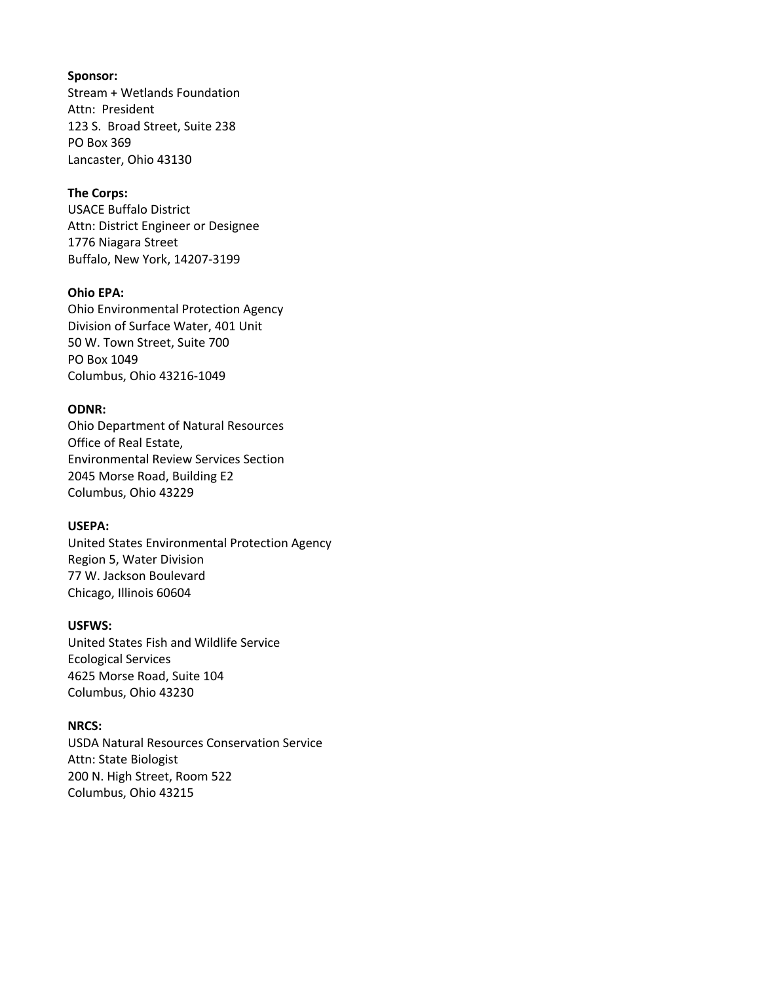#### **Sponsor:**

Stream + Wetlands Foundation Attn: President 123 S. Broad Street, Suite 238 PO Box 369 Lancaster, Ohio 43130

### **The Corps:**

USACE Buffalo District Attn: District Engineer or Designee 1776 Niagara Street Buffalo, New York, 14207-3199

#### **Ohio EPA:**

Ohio Environmental Protection Agency Division of Surface Water, 401 Unit 50 W. Town Street, Suite 700 PO Box 1049 Columbus, Ohio 43216-1049

### **ODNR:**

Ohio Department of Natural Resources Office of Real Estate, Environmental Review Services Section 2045 Morse Road, Building E2 Columbus, Ohio 43229

#### **USEPA:**

United States Environmental Protection Agency Region 5, Water Division 77 W. Jackson Boulevard Chicago, Illinois 60604

#### **USFWS:**

United States Fish and Wildlife Service Ecological Services 4625 Morse Road, Suite 104 Columbus, Ohio 43230

### **NRCS:**

USDA Natural Resources Conservation Service Attn: State Biologist 200 N. High Street, Room 522 Columbus, Ohio 43215